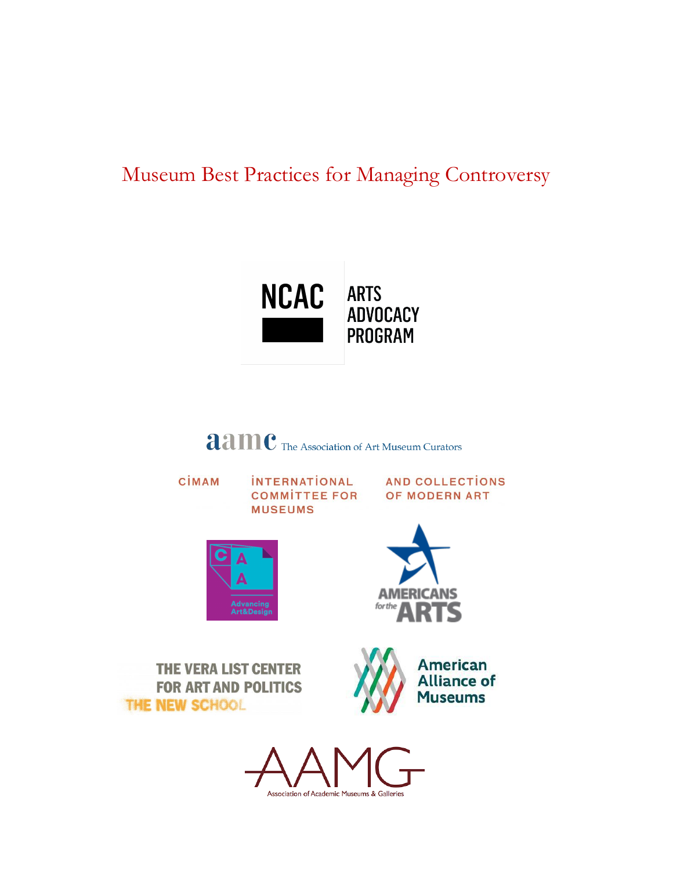# Museum Best Practices for Managing Controversy



**aamc** The Association of Art Museum Curators

CİMAM

**INTERNATIONAL COMMITTEE FOR MUSEUMS** 

**AND COLLECTIONS** OF MODERN ART





**THE VERA LIST CENTER FOR ART AND POLITICS** THE NEW SCHOOL



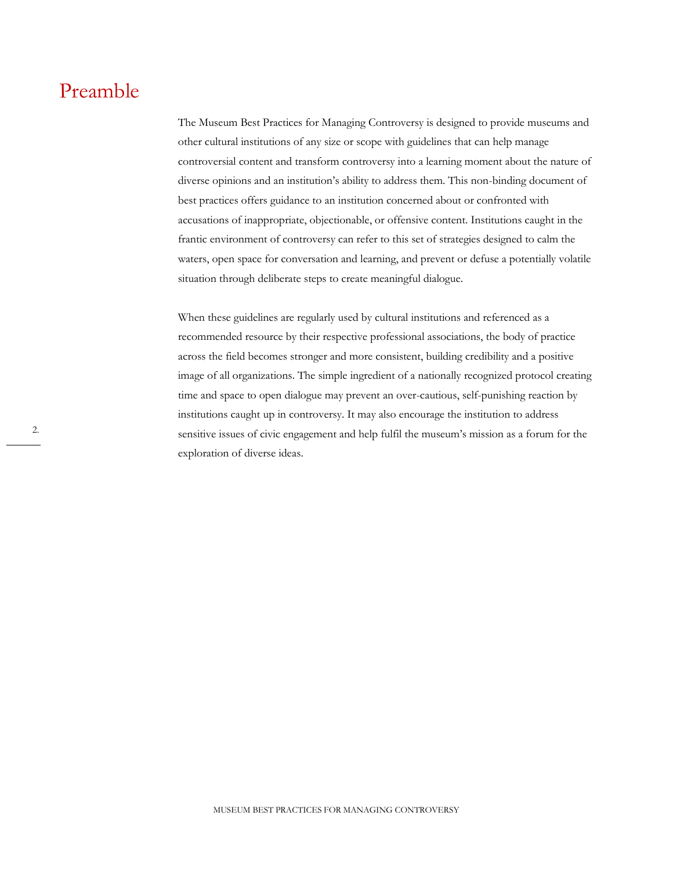### Preamble

The Museum Best Practices for Managing Controversy is designed to provide museums and other cultural institutions of any size or scope with guidelines that can help manage controversial content and transform controversy into a learning moment about the nature of diverse opinions and an institution's ability to address them. This non-binding document of best practices offers guidance to an institution concerned about or confronted with accusations of inappropriate, objectionable, or offensive content. Institutions caught in the frantic environment of controversy can refer to this set of strategies designed to calm the waters, open space for conversation and learning, and prevent or defuse a potentially volatile situation through deliberate steps to create meaningful dialogue.

When these guidelines are regularly used by cultural institutions and referenced as a recommended resource by their respective professional associations, the body of practice across the field becomes stronger and more consistent, building credibility and a positive image of all organizations. The simple ingredient of a nationally recognized protocol creating time and space to open dialogue may prevent an over-cautious, self-punishing reaction by institutions caught up in controversy. It may also encourage the institution to address sensitive issues of civic engagement and help fulfil the museum's mission as a forum for the exploration of diverse ideas.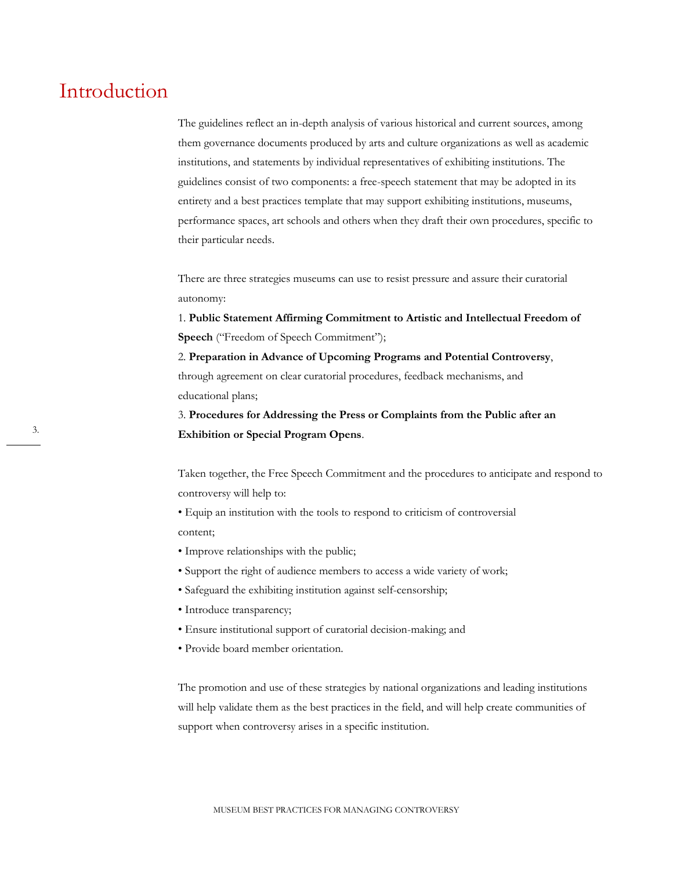### Introduction

The guidelines reflect an in-depth analysis of various historical and current sources, among them governance documents produced by arts and culture organizations as well as academic institutions, and statements by individual representatives of exhibiting institutions. The guidelines consist of two components: a free-speech statement that may be adopted in its entirety and a best practices template that may support exhibiting institutions, museums, performance spaces, art schools and others when they draft their own procedures, specific to their particular needs.

There are three strategies museums can use to resist pressure and assure their curatorial autonomy:

1. **Public Statement Affirming Commitment to Artistic and Intellectual Freedom of Speech** ("Freedom of Speech Commitment");

2. **Preparation in Advance of Upcoming Programs and Potential Controversy**, through agreement on clear curatorial procedures, feedback mechanisms, and educational plans;

3. **Procedures for Addressing the Press or Complaints from the Public after an Exhibition or Special Program Opens**.

Taken together, the Free Speech Commitment and the procedures to anticipate and respond to controversy will help to:

• Equip an institution with the tools to respond to criticism of controversial content;

- Improve relationships with the public;
- Support the right of audience members to access a wide variety of work;
- Safeguard the exhibiting institution against self-censorship;
- Introduce transparency;
- Ensure institutional support of curatorial decision-making; and
- Provide board member orientation.

The promotion and use of these strategies by national organizations and leading institutions will help validate them as the best practices in the field, and will help create communities of support when controversy arises in a specific institution.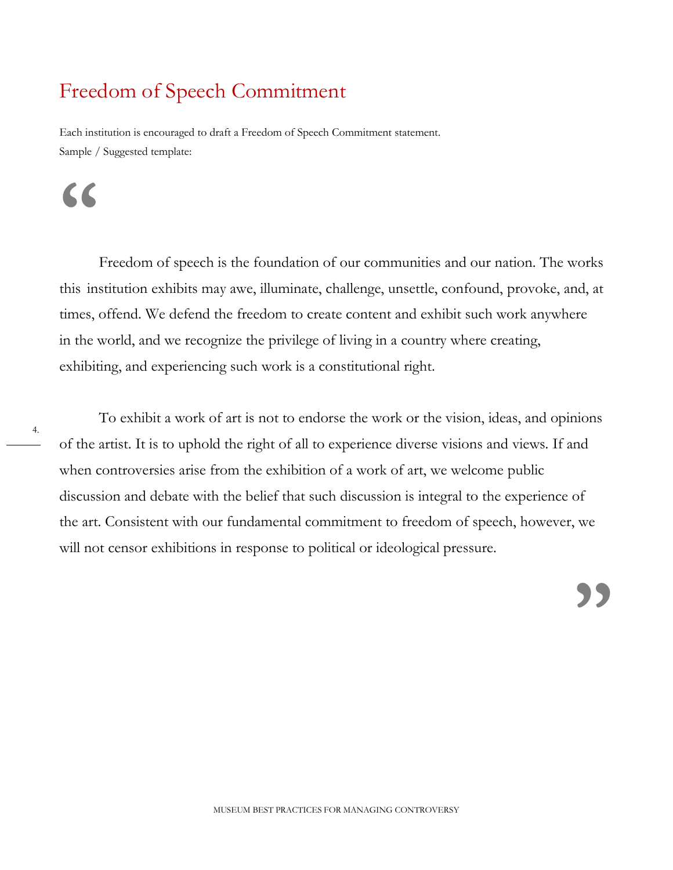## Freedom of Speech Commitment

Each institution is encouraged to draft a Freedom of Speech Commitment statement. Sample / Suggested template:

# **"**

Freedom of speech is the foundation of our communities and our nation. The works this institution exhibits may awe, illuminate, challenge, unsettle, confound, provoke, and, at times, offend. We defend the freedom to create content and exhibit such work anywhere in the world, and we recognize the privilege of living in a country where creating, exhibiting, and experiencing such work is a constitutional right.

4.

To exhibit a work of art is not to endorse the work or the vision, ideas, and opinions of the artist. It is to uphold the right of all to experience diverse visions and views. If and when controversies arise from the exhibition of a work of art, we welcome public discussion and debate with the belief that such discussion is integral to the experience of the art. Consistent with our fundamental commitment to freedom of speech, however, we will not censor exhibitions in response to political or ideological pressure.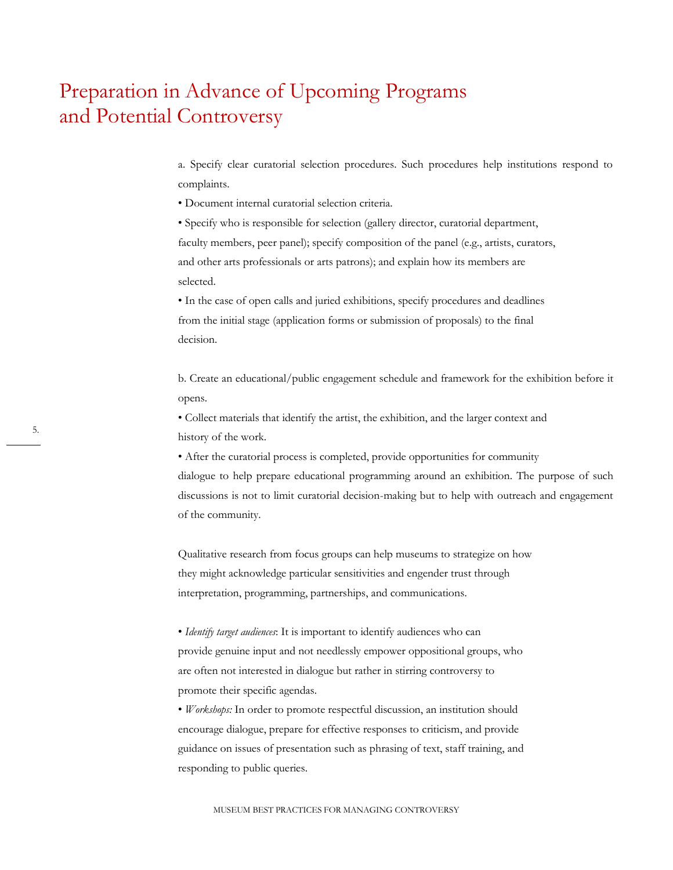### Preparation in Advance of Upcoming Programs and Potential Controversy

a. Specify clear curatorial selection procedures. Such procedures help institutions respond to complaints.

• Document internal curatorial selection criteria.

• Specify who is responsible for selection (gallery director, curatorial department, faculty members, peer panel); specify composition of the panel (e.g., artists, curators, and other arts professionals or arts patrons); and explain how its members are selected.

• In the case of open calls and juried exhibitions, specify procedures and deadlines from the initial stage (application forms or submission of proposals) to the final decision.

b. Create an educational/public engagement schedule and framework for the exhibition before it opens.

• Collect materials that identify the artist, the exhibition, and the larger context and history of the work.

• After the curatorial process is completed, provide opportunities for community dialogue to help prepare educational programming around an exhibition. The purpose of such discussions is not to limit curatorial decision-making but to help with outreach and engagement of the community.

Qualitative research from focus groups can help museums to strategize on how they might acknowledge particular sensitivities and engender trust through interpretation, programming, partnerships, and communications.

• *Identify target audiences*: It is important to identify audiences who can provide genuine input and not needlessly empower oppositional groups, who are often not interested in dialogue but rather in stirring controversy to promote their specific agendas.

• *Workshops:* In order to promote respectful discussion, an institution should encourage dialogue, prepare for effective responses to criticism, and provide guidance on issues of presentation such as phrasing of text, staff training, and responding to public queries.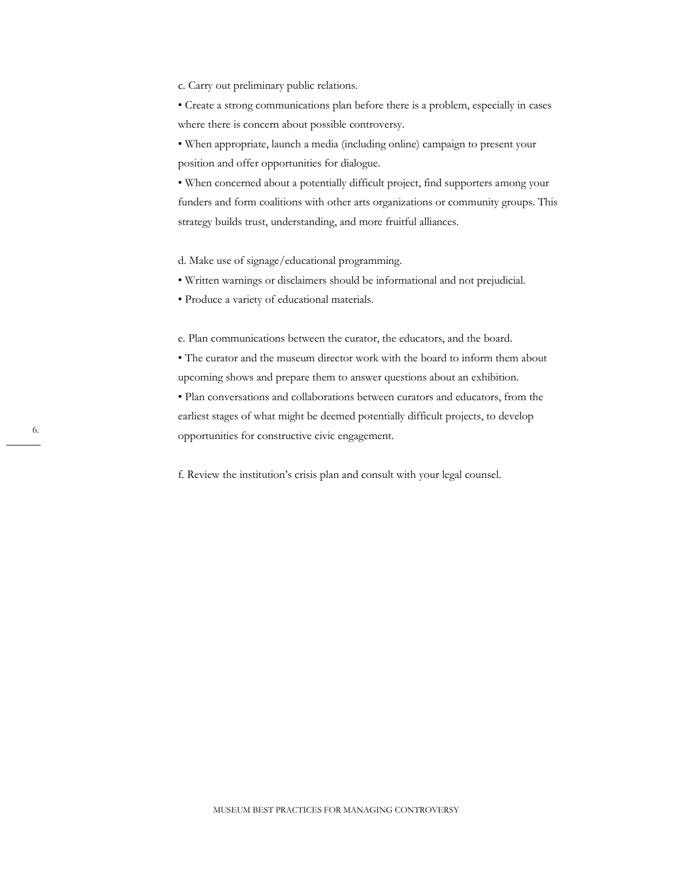c. Carry out preliminary public relations.

• Create a strong communications plan before there is a problem, especially in cases where there is concern about possible controversy.

• When appropriate, launch a media (including online) campaign to present your position and offer opportunities for dialogue.

• When concerned about a potentially difficult project, find supporters among your funders and form coalitions with other arts organizations or community groups. This strategy builds trust, understanding, and more fruitful alliances.

d. Make use of signage/educational programming.

• Written warnings or disclaimers should be informational and not prejudicial.

• Produce a variety of educational materials.

e. Plan communications between the curator, the educators, and the board.

• The curator and the museum director work with the board to inform them about upcoming shows and prepare them to answer questions about an exhibition.

• Plan conversations and collaborations between curators and educators, from the earliest stages of what might be deemed potentially difficult projects, to develop opportunities for constructive civic engagement.

f. Review the institution's crisis plan and consult with your legal counsel.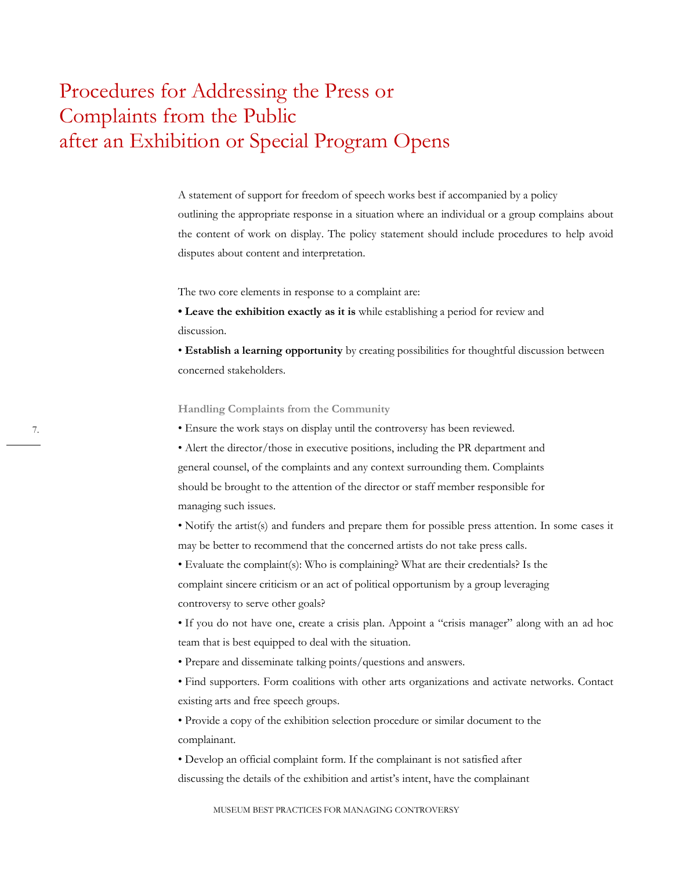### Procedures for Addressing the Press or Complaints from the Public after an Exhibition or Special Program Opens

A statement of support for freedom of speech works best if accompanied by a policy outlining the appropriate response in a situation where an individual or a group complains about the content of work on display. The policy statement should include procedures to help avoid disputes about content and interpretation.

The two core elements in response to a complaint are:

**• Leave the exhibition exactly as it is** while establishing a period for review and discussion.

• **Establish a learning opportunity** by creating possibilities for thoughtful discussion between concerned stakeholders.

**Handling Complaints from the Community**

• Ensure the work stays on display until the controversy has been reviewed.

• Alert the director/those in executive positions, including the PR department and general counsel, of the complaints and any context surrounding them. Complaints should be brought to the attention of the director or staff member responsible for managing such issues.

• Notify the artist(s) and funders and prepare them for possible press attention. In some cases it may be better to recommend that the concerned artists do not take press calls.

• Evaluate the complaint(s): Who is complaining? What are their credentials? Is the complaint sincere criticism or an act of political opportunism by a group leveraging controversy to serve other goals?

• If you do not have one, create a crisis plan. Appoint a "crisis manager" along with an ad hoc team that is best equipped to deal with the situation.

• Prepare and disseminate talking points/questions and answers.

• Find supporters. Form coalitions with other arts organizations and activate networks. Contact existing arts and free speech groups.

• Provide a copy of the exhibition selection procedure or similar document to the complainant.

• Develop an official complaint form. If the complainant is not satisfied after discussing the details of the exhibition and artist's intent, have the complainant